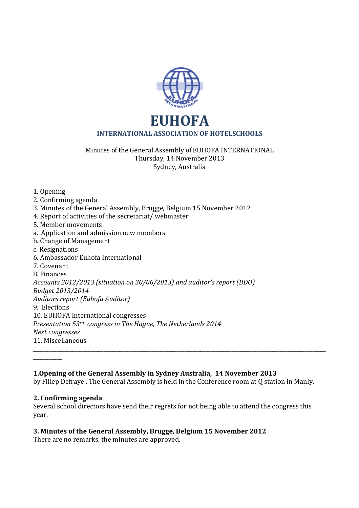

Minutes of the General Assembly of EUHOFA INTERNATIONAL Thursday, 14 November 2013 Sydney, Australia

1. Opening 2. Confirming agenda 3. Minutes of the General Assembly, Brugge, Belgium 15 November 2012 4. Report of activities of the secretariat/ webmaster 5. Member movements a. Application and admission new members b. Change of Management c. Resignations 6. Ambassador Euhofa International 7. Covenant 8. Finances *Accounts 2012/2013 (situation on 30/06/2013) and auditor's report (BDO) Budget 2013/2014 Auditors report (Euhofa Auditor)* 9. Elections 10. EUHOFA International congresses *Presentation 53rd congress in The Hague, The Netherlands 2014 Next congresses*  11. Miscellaneous \_\_\_\_\_\_\_\_\_\_\_\_\_\_\_\_\_\_\_\_\_\_\_\_\_\_\_\_\_\_\_\_\_\_\_\_\_\_\_\_\_\_\_\_\_\_\_\_\_\_\_\_\_\_\_\_\_\_\_\_\_\_\_\_\_\_\_\_\_\_\_\_\_\_\_\_\_\_\_\_\_\_\_\_\_\_\_\_\_\_\_\_\_\_\_\_\_\_\_\_\_\_\_\_\_\_\_\_\_\_\_\_ \_\_\_\_\_\_\_\_\_\_\_

**1.Opening of the General Assembly in Sydney Australia, 14 November 2013** 

by Filiep Defraye . The General Assembly is held in the Conference room at Q station in Manly.

## **2. Confirming agenda**

Several school directors have send their regrets for not being able to attend the congress this year.

## **3. Minutes of the General Assembly, Brugge, Belgium 15 November 2012**

There are no remarks, the minutes are approved.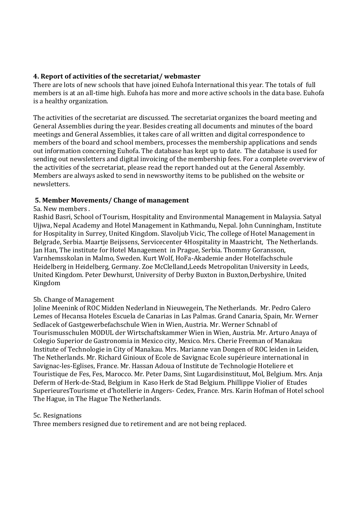### **4. Report of activities of the secretariat/ webmaster**

There are lots of new schools that have joined Euhofa International this year. The totals of full members is at an all-time high. Euhofa has more and more active schools in the data base. Euhofa is a healthy organization.

The activities of the secretariat are discussed. The secretariat organizes the board meeting and General Assemblies during the year. Besides creating all documents and minutes of the board meetings and General Assemblies, it takes care of all written and digital correspondence to members of the board and school members, processes the membership applications and sends out information concerning Euhofa. The database has kept up to date. The database is used for sending out newsletters and digital invoicing of the membership fees. For a complete overview of the activities of the secretariat, please read the report handed out at the General Assembly. Members are always asked to send in newsworthy items to be published on the website or newsletters.

## **5. Member Movements/ Change of management**

### 5a. New members .

Rashid Basri, School of Tourism, Hospitality and Environmental Management in Malaysia. Satyal Ujjwa, Nepal Academy and Hotel Management in Kathmandu, Nepal. John Cunningham, Institute for Hospitality in Surrey, United Kingdom. Slavoljub Vicic, The college of Hotel Management in Belgrade, Serbia. Maartje Beijssens, Servicecenter 4Hospitality in Maastricht, The Netherlands. Jan Han, The institute for Hotel Management in Prague, Serbia. Thommy Goransson, Varnhemsskolan in Malmo, Sweden. Kurt Wolf, HoFa-Akademie ander Hotelfachschule Heidelberg in Heidelberg, Germany. Zoe McClelland,Leeds Metropolitan University in Leeds, United Kingdom. Peter Dewhurst, University of Derby Buxton in Buxton,Derbyshire, United Kingdom

## 5b. Change of Management

Joline Meenink of ROC Midden Nederland in Nieuwegein, The Netherlands. Mr. Pedro Calero Lemes of Hecansa Hoteles Escuela de Canarias in Las Palmas. Grand Canaria, Spain, Mr. Werner Sedlacek of Gastgewerbefachschule Wien in Wien, Austria. Mr. Werner Schnabl of Tourismusschulen MODUL der Wirtschaftskammer Wien in Wien, Austria. Mr. Arturo Anaya of Colegio Superior de Gastronomia in Mexico city, Mexico. Mrs. Cherie Freeman of Manakau Institute of Technologie in City of Manakau. Mrs. Marianne van Dongen of ROC leiden in Leiden, The Netherlands. Mr. Richard Ginioux of Ecole de Savignac Ecole supérieure international in Savignac-les-Eglises, France. Mr. Hassan Adoua of Institute de Technologie Hoteliere et Touristique de Fes, Fes, Marocco. Mr. Peter Dams, Sint Lugardisinstituut, Mol, Belgium. Mrs. Anja Deferm of Herk-de-Stad, Belgium in Kaso Herk de Stad Belgium. Phillippe Violier of Etudes SuperieuresTourisme et d'hotellerie in Angers- Cedex, France. Mrs. Karin Hofman of Hotel school The Hague, in The Hague The Netherlands.

### 5c. Resignations

Three members resigned due to retirement and are not being replaced.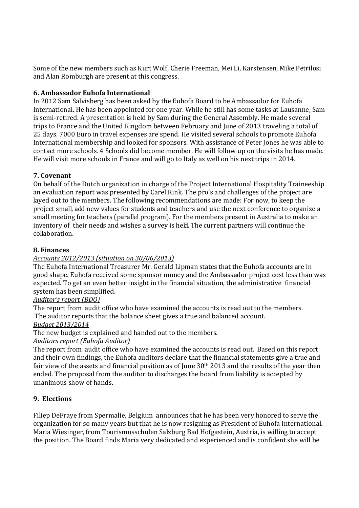Some of the new members such as Kurt Wolf, Cherie Freeman, Mei Li, Karstensen, Mike Petrilosi and Alan Romburgh are present at this congress.

# **6. Ambassador Euhofa International**

In 2012 Sam Salvisberg has been asked by the Euhofa Board to be Ambassador for Euhofa International. He has been appointed for one year. While he still has some tasks at Lausanne, Sam is semi-retired. A presentation is held by Sam during the General Assembly. He made several trips to France and the United Kingdom between February and June of 2013 traveling a total of 25 days. 7000 Euro in travel expenses are spend. He visited several schools to promote Euhofa International membership and looked for sponsors. With assistance of Peter Jones he was able to contact more schools. 4 Schools did become member. He will follow up on the visits he has made. He will visit more schools in France and will go to Italy as well on his next trips in 2014.

# **7. Covenant**

On behalf of the Dutch organization in charge of the Project International Hospitality Traineeship an evaluation report was presented by Carel Rink. The pro's and challenges of the project are layed out to the members. The following recommendations are made: For now, to keep the project small, add new values for students and teachers and use the next conference to organize a small meeting for teachers (parallel program). For the members present in Australia to make an inventory of their needs and wishes a survey is held. The current partners will continue the collaboration.

# **8. Finances**

# *Accounts 2012/2013 (situation on 30/06/2013)*

The Euhofa International Treasurer Mr. Gerald Lipman states that the Euhofa accounts are in good shape. Euhofa received some sponsor money and the Ambassador project cost less than was expected. To get an even better insight in the financial situation, the administrative financial system has been simplified.

# *Auditor's report (BDO)*

The report from audit office who have examined the accounts is read out to the members. The auditor reports that the balance sheet gives a true and balanced account.

# *Budget 2013/2014*

The new budget is explained and handed out to the members.

*Auditors report (Euhofa Auditor)* 

The report from audit office who have examined the accounts is read out. Based on this report and their own findings, the Euhofa auditors declare that the financial statements give a true and fair view of the assets and financial position as of June  $30<sup>th</sup> 2013$  and the results of the year then ended. The proposal from the auditor to discharges the board from liability is accepted by unanimous show of hands.

# **9. Elections**

Filiep DeFraye from Spermalie, Belgium announces that he has been very honored to serve the organization for so many years but that he is now resigning as President of Euhofa International. Maria Wiesinger, from Tourismusschulen Salzburg Bad Hofgastein, Austria, is willing to accept the position. The Board finds Maria very dedicated and experienced and is confident she will be